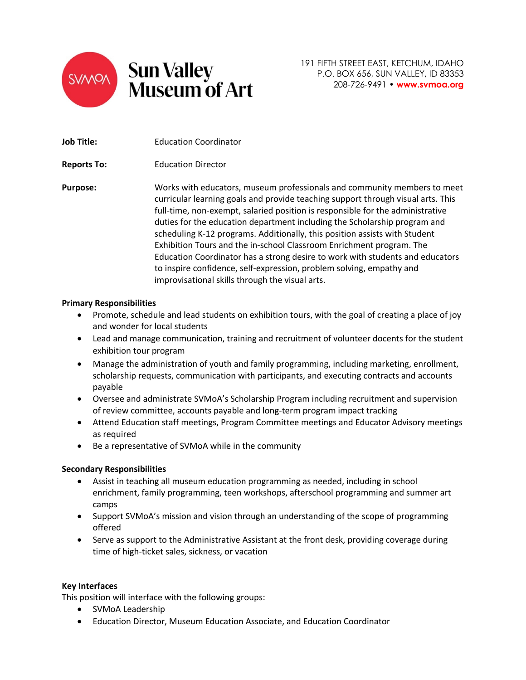

191 FIFTH STREET EAST, KETCHUM, IDAHO P.O. BOX 656, SUN VALLEY, ID 83353 208-726-9491 • **www.svmoa.org**

members to meet

| Job Title:         | <b>Education Coordinator</b>                                                                                                                                                                                                                                                                                                                                                                                                                                                                                                                                                                                                                                                                  |
|--------------------|-----------------------------------------------------------------------------------------------------------------------------------------------------------------------------------------------------------------------------------------------------------------------------------------------------------------------------------------------------------------------------------------------------------------------------------------------------------------------------------------------------------------------------------------------------------------------------------------------------------------------------------------------------------------------------------------------|
| <b>Reports To:</b> | <b>Education Director</b>                                                                                                                                                                                                                                                                                                                                                                                                                                                                                                                                                                                                                                                                     |
| <b>Purpose:</b>    | Works with educators, museum professionals and community members to meet<br>curricular learning goals and provide teaching support through visual arts. This<br>full-time, non-exempt, salaried position is responsible for the administrative<br>duties for the education department including the Scholarship program and<br>scheduling K-12 programs. Additionally, this position assists with Student<br>Exhibition Tours and the in-school Classroom Enrichment program. The<br>Education Coordinator has a strong desire to work with students and educators<br>to inspire confidence, self-expression, problem solving, empathy and<br>improvisational skills through the visual arts. |

## **Primary Responsibilities**

- Promote, schedule and lead students on exhibition tours, with the goal of creating a place of joy and wonder for local students
- Lead and manage communication, training and recruitment of volunteer docents for the student exhibition tour program
- Manage the administration of youth and family programming, including marketing, enrollment, scholarship requests, communication with participants, and executing contracts and accounts payable
- Oversee and administrate SVMoA's Scholarship Program including recruitment and supervision of review committee, accounts payable and long-term program impact tracking
- Attend Education staff meetings, Program Committee meetings and Educator Advisory meetings as required
- Be a representative of SVMoA while in the community

#### **Secondary Responsibilities**

- Assist in teaching all museum education programming as needed, including in school enrichment, family programming, teen workshops, afterschool programming and summer art camps
- Support SVMoA's mission and vision through an understanding of the scope of programming offered
- Serve as support to the Administrative Assistant at the front desk, providing coverage during time of high-ticket sales, sickness, or vacation

#### **Key Interfaces**

This position will interface with the following groups:

- SVMoA Leadership
- Education Director, Museum Education Associate, and Education Coordinator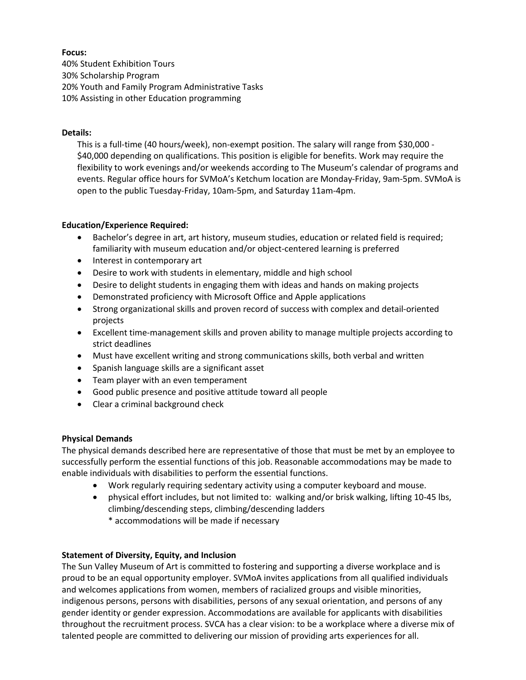# **Focus:**

40% Student Exhibition Tours 30% Scholarship Program 20% Youth and Family Program Administrative Tasks 10% Assisting in other Education programming

## **Details:**

This is a full-time (40 hours/week), non-exempt position. The salary will range from \$30,000 - \$40,000 depending on qualifications. This position is eligible for benefits. Work may require the flexibility to work evenings and/or weekends according to The Museum's calendar of programs and events. Regular office hours for SVMoA's Ketchum location are Monday-Friday, 9am-5pm. SVMoA is open to the public Tuesday-Friday, 10am-5pm, and Saturday 11am-4pm.

## **Education/Experience Required:**

- Bachelor's degree in art, art history, museum studies, education or related field is required; familiarity with museum education and/or object-centered learning is preferred
- Interest in contemporary art
- Desire to work with students in elementary, middle and high school
- Desire to delight students in engaging them with ideas and hands on making projects
- Demonstrated proficiency with Microsoft Office and Apple applications
- Strong organizational skills and proven record of success with complex and detail-oriented projects
- Excellent time-management skills and proven ability to manage multiple projects according to strict deadlines
- Must have excellent writing and strong communications skills, both verbal and written
- Spanish language skills are a significant asset
- Team player with an even temperament
- Good public presence and positive attitude toward all people
- Clear a criminal background check

# **Physical Demands**

The physical demands described here are representative of those that must be met by an employee to successfully perform the essential functions of this job. Reasonable accommodations may be made to enable individuals with disabilities to perform the essential functions.

- Work regularly requiring sedentary activity using a computer keyboard and mouse.
- physical effort includes, but not limited to: walking and/or brisk walking, lifting 10-45 lbs, climbing/descending steps, climbing/descending ladders
	- \* accommodations will be made if necessary

# **Statement of Diversity, Equity, and Inclusion**

The Sun Valley Museum of Art is committed to fostering and supporting a diverse workplace and is proud to be an equal opportunity employer. SVMoA invites applications from all qualified individuals and welcomes applications from women, members of racialized groups and visible minorities, indigenous persons, persons with disabilities, persons of any sexual orientation, and persons of any gender identity or gender expression. Accommodations are available for applicants with disabilities throughout the recruitment process. SVCA has a clear vision: to be a workplace where a diverse mix of talented people are committed to delivering our mission of providing arts experiences for all.